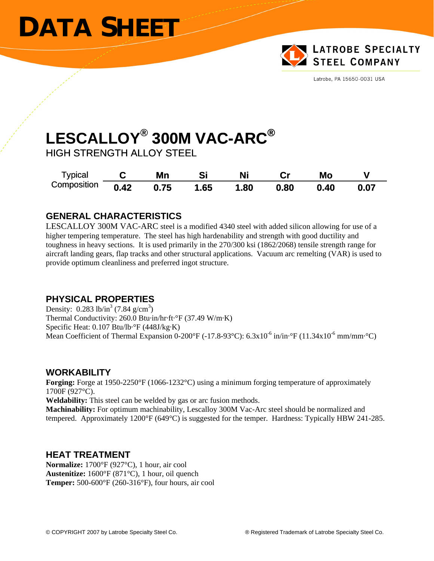## **DATA SHEET**



Latrobe, PA 15650-0031 USA

# **ESCALLOY® L 300M VAC-ARC® AC-ARC®C Mn Si Ni Cr Mo V**

HIGH STRENGTH ALLOY STEEL

| <b>Typical</b> |      | Mn   | Si   |     |      | Mo   |      |
|----------------|------|------|------|-----|------|------|------|
| Composition    | 0.42 | 0.75 | 1.65 | .80 | 0.80 | 0.40 | 0.07 |

#### **GENERAL CHARACTERISTICS**

LESCALLOY 300M VAC-ARC steel is a modified 4340 steel with added silicon allowing for use of a higher tempering temperature. The steel has high hardenability and strength with good ductility and toughness in heavy sections. It is used primarily in the 270/300 ksi (1862/2068) tensile strength range for aircraft landing gears, flap tracks and other structural applications. Vacuum arc remelting (VAR) is used to provide optimum cleanliness and preferred ingot structure.

#### **PHYSICAL PROPERTIES**

Specific Heat: 0.107 Btu/lb·°F (448J/kg·K) Mean Coefficient of Thermal Expansion 0-200°F (-17.8-93°C):  $6.3 \times 10^{-6}$  in/in·°F (11.34x10<sup>-6</sup> mm/mm·°C) Density:  $0.283$  lb/in<sup>3</sup> (7.84 g/cm<sup>3</sup>) Thermal Conductivity: 260.0 Btu·in/hr·ft·°F (37.49 W/m·K)

#### **TY WORKABILI**

Forging: Forge at 1950-2250°F (1066-1232°C) using a minimum forging temperature of approximately 1700F (927°C).

**Weldability:** This steel can be welded by gas or arc fusion methods.

**achinability:** For optimum machinability, Lescalloy 300M Vac-Arc steel should be normalized and **M** tempered. Approximately 1200°F (649°C) is suggested for the temper. Hardness: Typically HBW 241-285.

#### **HEAT TREATMENT**

**Austenitize:** 1600°F (871°C), 1 hour, oil quench **Temper:** 500-600°F (260-316°F), four hours, air cool **Normalize:** 1700°F (927°C), 1 hour, air cool